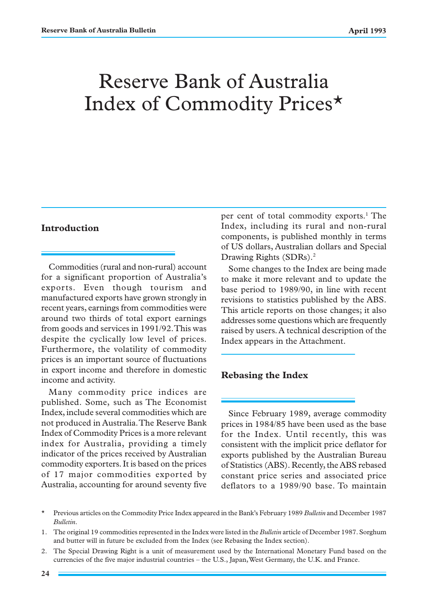# Reserve Bank of Australia Index of Commodity Prices\*

### **Introduction**

Commodities (rural and non-rural) account for a significant proportion of Australia's exports. Even though tourism and manufactured exports have grown strongly in recent years, earnings from commodities were around two thirds of total export earnings from goods and services in 1991/92. This was despite the cyclically low level of prices. Furthermore, the volatility of commodity prices is an important source of fluctuations in export income and therefore in domestic income and activity.

Many commodity price indices are published. Some, such as The Economist Index, include several commodities which are not produced in Australia. The Reserve Bank Index of Commodity Prices is a more relevant index for Australia, providing a timely indicator of the prices received by Australian commodity exporters. It is based on the prices of 17 major commodities exported by Australia, accounting for around seventy five

per cent of total commodity exports.<sup>1</sup> The Index, including its rural and non-rural components, is published monthly in terms of US dollars, Australian dollars and Special Drawing Rights (SDRs).<sup>2</sup>

Some changes to the Index are being made to make it more relevant and to update the base period to 1989/90, in line with recent revisions to statistics published by the ABS. This article reports on those changes; it also addresses some questions which are frequently raised by users. A technical description of the Index appears in the Attachment.

## **Rebasing the Index**

Since February 1989, average commodity prices in 1984/85 have been used as the base for the Index. Until recently, this was consistent with the implicit price deflator for exports published by the Australian Bureau of Statistics (ABS). Recently, the ABS rebased constant price series and associated price deflators to a 1989/90 base. To maintain

- \* Previous articles on the Commodity Price Index appeared in the Bank's February 1989 *Bulletin* and December 1987 *Bulletin*.
- 1. The original 19 commodities represented in the Index were listed in the *Bulletin* article of December 1987. Sorghum and butter will in future be excluded from the Index (see Rebasing the Index section).
- 2. The Special Drawing Right is a unit of measurement used by the International Monetary Fund based on the currencies of the five major industrial countries – the U.S., Japan, West Germany, the U.K. and France.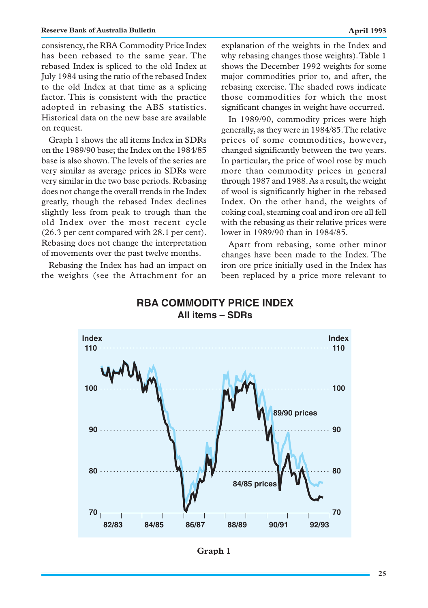consistency, the RBA Commodity Price Index has been rebased to the same year. The rebased Index is spliced to the old Index at July 1984 using the ratio of the rebased Index to the old Index at that time as a splicing factor. This is consistent with the practice adopted in rebasing the ABS statistics. Historical data on the new base are available on request.

Graph 1 shows the all items Index in SDRs on the 1989/90 base; the Index on the 1984/85 base is also shown. The levels of the series are very similar as average prices in SDRs were very similar in the two base periods. Rebasing does not change the overall trends in the Index greatly, though the rebased Index declines slightly less from peak to trough than the old Index over the most recent cycle (26.3 per cent compared with 28.1 per cent). Rebasing does not change the interpretation of movements over the past twelve months.

Rebasing the Index has had an impact on the weights (see the Attachment for an explanation of the weights in the Index and why rebasing changes those weights). Table 1 shows the December 1992 weights for some major commodities prior to, and after, the rebasing exercise. The shaded rows indicate those commodities for which the most significant changes in weight have occurred.

In 1989/90, commodity prices were high generally, as they were in 1984/85. The relative prices of some commodities, however, changed significantly between the two years. In particular, the price of wool rose by much more than commodity prices in general through 1987 and 1988. As a result, the weight of wool is significantly higher in the rebased Index. On the other hand, the weights of coking coal, steaming coal and iron ore all fell with the rebasing as their relative prices were lower in 1989/90 than in 1984/85.

Apart from rebasing, some other minor changes have been made to the Index. The iron ore price initially used in the Index has been replaced by a price more relevant to



**All items – SDRs**

**RBA COMMODITY PRICE INDEX**

**Graph 1**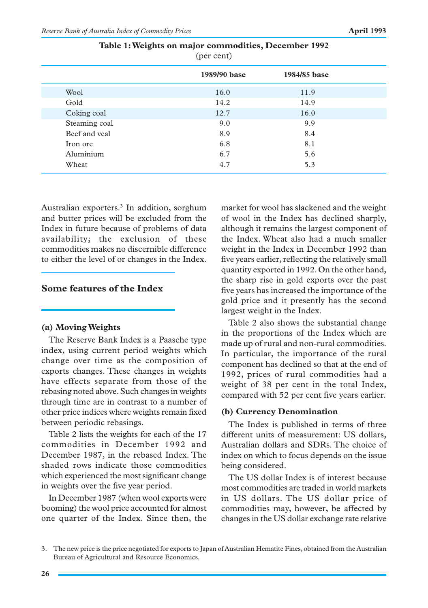| $(\mu$ <sub>c</sub> come     |  |  |  |  |
|------------------------------|--|--|--|--|
| 1989/90 base<br>1984/85 base |  |  |  |  |
| 11.9                         |  |  |  |  |
| 14.9                         |  |  |  |  |
| 16.0                         |  |  |  |  |
| 9.9                          |  |  |  |  |
| 8.4                          |  |  |  |  |
| 8.1                          |  |  |  |  |
| 5.6                          |  |  |  |  |
| 5.3                          |  |  |  |  |
|                              |  |  |  |  |

**Table 1: Weights on major commodities, December 1992**  $(nar$  cant)

Australian exporters.3 In addition, sorghum and butter prices will be excluded from the Index in future because of problems of data availability; the exclusion of these commodities makes no discernible difference to either the level of or changes in the Index.

## **Some features of the Index**

#### **(a) Moving Weights**

The Reserve Bank Index is a Paasche type index, using current period weights which change over time as the composition of exports changes. These changes in weights have effects separate from those of the rebasing noted above. Such changes in weights through time are in contrast to a number of other price indices where weights remain fixed between periodic rebasings.

Table 2 lists the weights for each of the 17 commodities in December 1992 and December 1987, in the rebased Index. The shaded rows indicate those commodities which experienced the most significant change in weights over the five year period.

In December 1987 (when wool exports were booming) the wool price accounted for almost one quarter of the Index. Since then, the market for wool has slackened and the weight of wool in the Index has declined sharply, although it remains the largest component of the Index. Wheat also had a much smaller weight in the Index in December 1992 than five years earlier, reflecting the relatively small quantity exported in 1992. On the other hand, the sharp rise in gold exports over the past five years has increased the importance of the gold price and it presently has the second largest weight in the Index.

Table 2 also shows the substantial change in the proportions of the Index which are made up of rural and non-rural commodities. In particular, the importance of the rural component has declined so that at the end of 1992, prices of rural commodities had a weight of 38 per cent in the total Index, compared with 52 per cent five years earlier.

## **(b) Currency Denomination**

The Index is published in terms of three different units of measurement: US dollars, Australian dollars and SDRs. The choice of index on which to focus depends on the issue being considered.

The US dollar Index is of interest because most commodities are traded in world markets in US dollars. The US dollar price of commodities may, however, be affected by changes in the US dollar exchange rate relative

<sup>3.</sup> The new price is the price negotiated for exports to Japan of Australian Hematite Fines, obtained from the Australian Bureau of Agricultural and Resource Economics.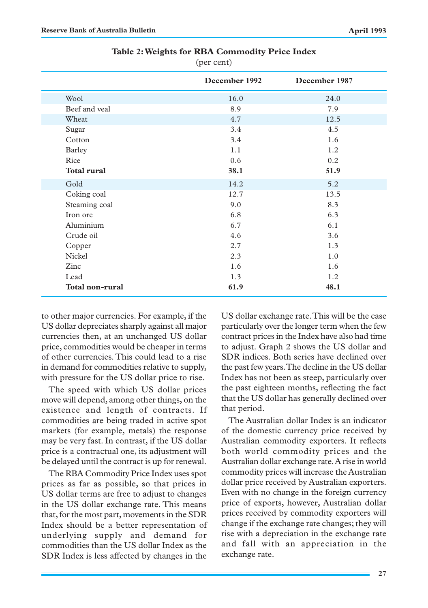|                        | December 1992 | December 1987 |
|------------------------|---------------|---------------|
| Wool                   | 16.0          | 24.0          |
| Beef and yeal          | 8.9           | 7.9           |
| Wheat                  | 4.7           | 12.5          |
| Sugar                  | 3.4           | 4.5           |
| Cotton                 | 3.4           | 1.6           |
| <b>Barley</b>          | 1.1           | 1.2           |
| Rice                   | 0.6           | 0.2           |
| <b>Total rural</b>     | 38.1          | 51.9          |
| Gold                   | 14.2          | 5.2           |
| Coking coal            | 12.7          | 13.5          |
| Steaming coal          | 9.0           | 8.3           |
| Iron ore               | 6.8           | 6.3           |
| Aluminium              | 6.7           | 6.1           |
| Crude oil              | 4.6           | 3.6           |
| Copper                 | 2.7           | 1.3           |
| <b>Nickel</b>          | 2.3           | 1.0           |
| Zinc                   | 1.6           | 1.6           |
| Lead                   | 1.3           | 1.2           |
| <b>Total non-rural</b> | 61.9          | 48.1          |

**Table 2: Weights for RBA Commodity Price Index**

(per cent)

to other major currencies. For example, if the US dollar depreciates sharply against all major currencies then, at an unchanged US dollar price, commodities would be cheaper in terms of other currencies. This could lead to a rise in demand for commodities relative to supply, with pressure for the US dollar price to rise.

The speed with which US dollar prices move will depend, among other things, on the existence and length of contracts. If commodities are being traded in active spot markets (for example, metals) the response may be very fast. In contrast, if the US dollar price is a contractual one, its adjustment will be delayed until the contract is up for renewal.

The RBA Commodity Price Index uses spot prices as far as possible, so that prices in US dollar terms are free to adjust to changes in the US dollar exchange rate. This means that, for the most part, movements in the SDR Index should be a better representation of underlying supply and demand for commodities than the US dollar Index as the SDR Index is less affected by changes in the

US dollar exchange rate. This will be the case particularly over the longer term when the few contract prices in the Index have also had time to adjust. Graph 2 shows the US dollar and SDR indices. Both series have declined over the past few years. The decline in the US dollar Index has not been as steep, particularly over the past eighteen months, reflecting the fact that the US dollar has generally declined over that period.

The Australian dollar Index is an indicator of the domestic currency price received by Australian commodity exporters. It reflects both world commodity prices and the Australian dollar exchange rate. A rise in world commodity prices will increase the Australian dollar price received by Australian exporters. Even with no change in the foreign currency price of exports, however, Australian dollar prices received by commodity exporters will change if the exchange rate changes; they will rise with a depreciation in the exchange rate and fall with an appreciation in the exchange rate.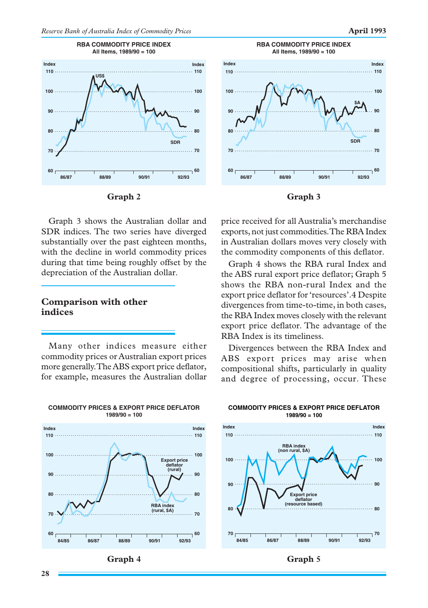





Graph 3 shows the Australian dollar and SDR indices. The two series have diverged substantially over the past eighteen months, with the decline in world commodity prices during that time being roughly offset by the depreciation of the Australian dollar.

## **Comparison with other indices**

Many other indices measure either commodity prices or Australian export prices more generally. The ABS export price deflator, for example, measures the Australian dollar









price received for all Australia's merchandise exports, not just commodities. The RBA Index in Australian dollars moves very closely with the commodity components of this deflator.

Graph 4 shows the RBA rural Index and the ABS rural export price deflator; Graph 5 shows the RBA non-rural Index and the export price deflator for 'resources'.4 Despite divergences from time-to-time, in both cases, the RBA Index moves closely with the relevant export price deflator. The advantage of the RBA Index is its timeliness.

Divergences between the RBA Index and ABS export prices may arise when compositional shifts, particularly in quality and degree of processing, occur. These



#### **COMMODITY PRICES & EXPORT PRICE DEFLATOR 1989/90 = 100**

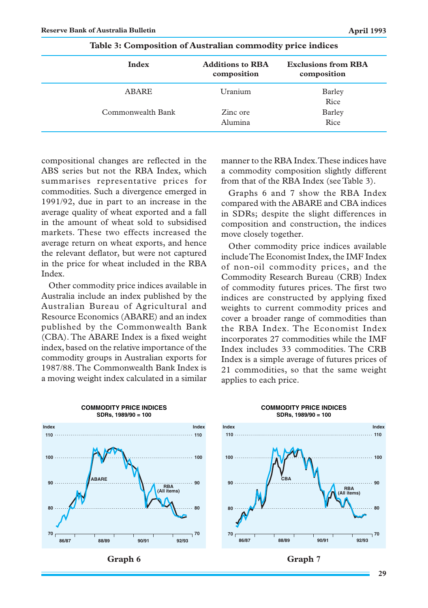| <b>Index</b>      | <b>Additions to RBA</b><br>composition | <b>Exclusions from RBA</b><br>composition |
|-------------------|----------------------------------------|-------------------------------------------|
| ABARE             | Uranium                                | Barley<br>Rice                            |
| Commonwealth Bank | Zinc ore<br>Alumina                    | Barley<br>Rice                            |

| Table 3: Composition of Australian commodity price indices |  |  |
|------------------------------------------------------------|--|--|
|                                                            |  |  |

compositional changes are reflected in the ABS series but not the RBA Index, which summarises representative prices for commodities. Such a divergence emerged in 1991/92, due in part to an increase in the average quality of wheat exported and a fall in the amount of wheat sold to subsidised markets. These two effects increased the average return on wheat exports, and hence the relevant deflator, but were not captured in the price for wheat included in the RBA Index.

Other commodity price indices available in Australia include an index published by the Australian Bureau of Agricultural and Resource Economics (ABARE) and an index published by the Commonwealth Bank (CBA). The ABARE Index is a fixed weight index, based on the relative importance of the commodity groups in Australian exports for 1987/88. The Commonwealth Bank Index is a moving weight index calculated in a similar manner to the RBA Index. These indices have a commodity composition slightly different from that of the RBA Index (see Table 3).

Graphs 6 and 7 show the RBA Index compared with the ABARE and CBA indices in SDRs; despite the slight differences in composition and construction, the indices move closely together.

Other commodity price indices available include The Economist Index, the IMF Index of non-oil commodity prices, and the Commodity Research Bureau (CRB) Index of commodity futures prices. The first two indices are constructed by applying fixed weights to current commodity prices and cover a broader range of commodities than the RBA Index. The Economist Index incorporates 27 commodities while the IMF Index includes 33 commodities. The CRB Index is a simple average of futures prices of 21 commodities, so that the same weight applies to each price.





**COMMODITY PRICE INDICES SDRs, 1989/90 = 100**

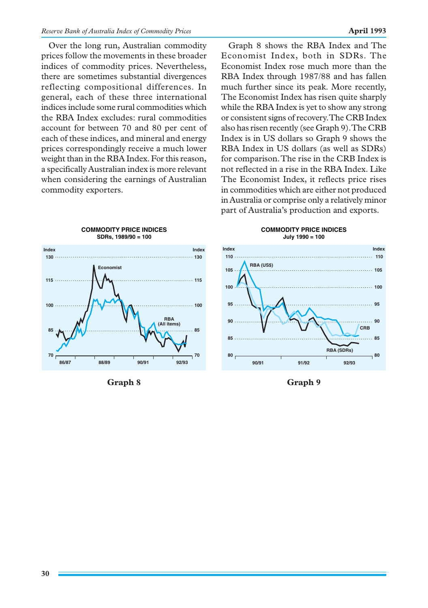Over the long run, Australian commodity prices follow the movements in these broader indices of commodity prices. Nevertheless, there are sometimes substantial divergences reflecting compositional differences. In general, each of these three international indices include some rural commodities which the RBA Index excludes: rural commodities account for between 70 and 80 per cent of each of these indices, and mineral and energy prices correspondingly receive a much lower weight than in the RBA Index. For this reason, a specifically Australian index is more relevant when considering the earnings of Australian commodity exporters.

Graph 8 shows the RBA Index and The Economist Index, both in SDRs. The Economist Index rose much more than the RBA Index through 1987/88 and has fallen much further since its peak. More recently, The Economist Index has risen quite sharply while the RBA Index is yet to show any strong or consistent signs of recovery. The CRB Index also has risen recently (see Graph 9). The CRB Index is in US dollars so Graph 9 shows the RBA Index in US dollars (as well as SDRs) for comparison. The rise in the CRB Index is not reflected in a rise in the RBA Index. Like The Economist Index, it reflects price rises in commodities which are either not produced in Australia or comprise only a relatively minor part of Australia's production and exports.



Graph 8 Graph 9